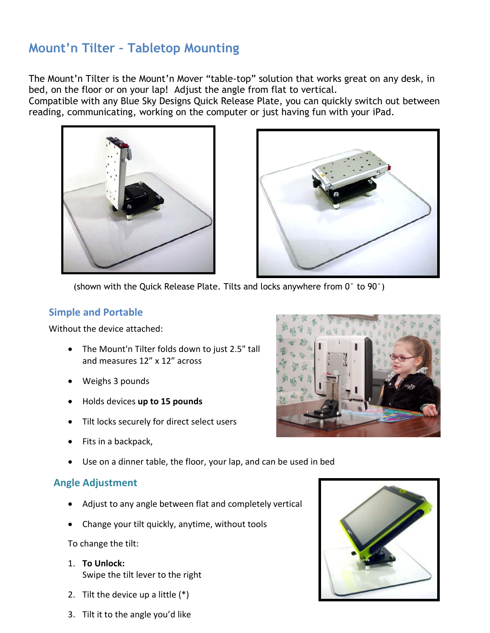# **Mount'n Tilter – Tabletop Mounting**

The Mount'n Tilter is the Mount'n Mover "table-top" solution that works great on any desk, in bed, on the floor or on your lap! Adjust the angle from flat to vertical.

Compatible with any Blue Sky Designs Quick Release Plate, you can quickly switch out between reading, communicating, working on the computer or just having fun with your iPad.





(shown with the Quick Release Plate. Tilts and locks anywhere from 0° to 90°)

#### **Simple and Portable**

Without the device attached:

- The Mount'n Tilter folds down to just 2.5" tall and measures 12" x 12" across
- Weighs 3 pounds
- Holds devices **up to 15 pounds**
- Tilt locks securely for direct select users
- Fits in a backpack,
- Use on a dinner table, the floor, your lap, and can be used in bed

### **Angle Adjustment**

- Adjust to any angle between flat and completely vertical
- Change your tilt quickly, anytime, without tools

To change the tilt:

- 1. **To Unlock:** Swipe the tilt lever to the right
- 2. Tilt the device up a little (\*)





3. Tilt it to the angle you'd like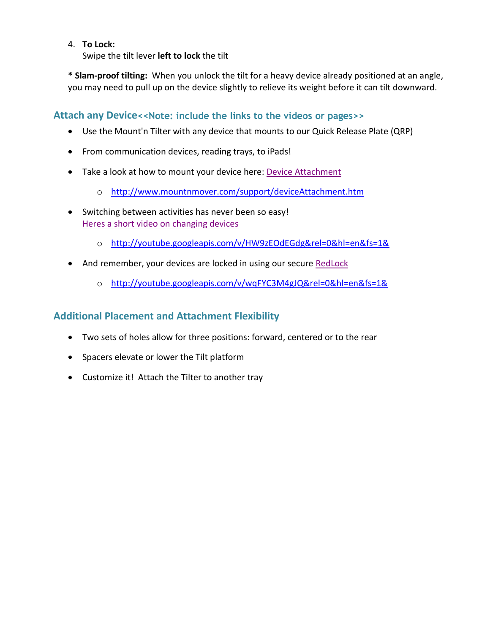#### 4. **To Lock:**

Swipe the tilt lever **left to lock** the tilt

**\* Slam-proof tilting:** When you unlock the tilt for a heavy device already positioned at an angle, you may need to pull up on the device slightly to relieve its weight before it can tilt downward.

**Attach any Device<<Note: include the links to the videos or pages>>**

- Use the Mount'n Tilter with any device that mounts to our Quick Release Plate (QRP)
- From communication devices, reading trays, to iPads!
- Take a look at how to mount your device here: [Device Attachment](http://www.mountnmover.com/support/deviceAttachment.htm)
	- o <http://www.mountnmover.com/support/deviceAttachment.htm>
- Switching between activities has never been so easy! [Heres a short video on changing devices](http://www.youtube.com/v/HW9zEOdEGdg&rel=0&hl=en&fs=1&)
	- o <http://youtube.googleapis.com/v/HW9zEOdEGdg&rel=0&hl=en&fs=1&>
- And remember, your devices are locked in using our secure [RedLock](http://www.youtube.com/v/wqFYC3M4gJQ&rel=0&hl=en&fs=1&)
	- o <http://youtube.googleapis.com/v/wqFYC3M4gJQ&rel=0&hl=en&fs=1&>

### **Additional Placement and Attachment Flexibility**

- Two sets of holes allow for three positions: forward, centered or to the rear
- Spacers elevate or lower the Tilt platform
- Customize it! Attach the Tilter to another tray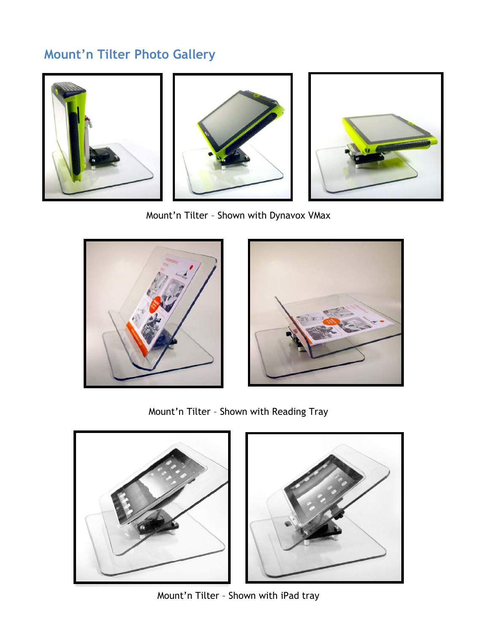## **Mount'n Tilter Photo Gallery**



Mount'n Tilter – Shown with Dynavox VMax





Mount'n Tilter – Shown with Reading Tray



Mount'n Tilter – Shown with iPad tray